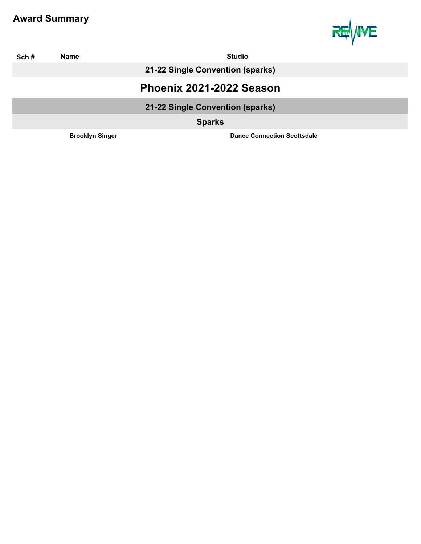

| Sch# | <b>Studio</b><br>Name            |                                    |
|------|----------------------------------|------------------------------------|
|      | 21-22 Single Convention (sparks) |                                    |
|      |                                  | Phoenix 2021-2022 Season           |
|      |                                  | 21-22 Single Convention (sparks)   |
|      |                                  | <b>Sparks</b>                      |
|      | <b>Brooklyn Singer</b>           | <b>Dance Connection Scottsdale</b> |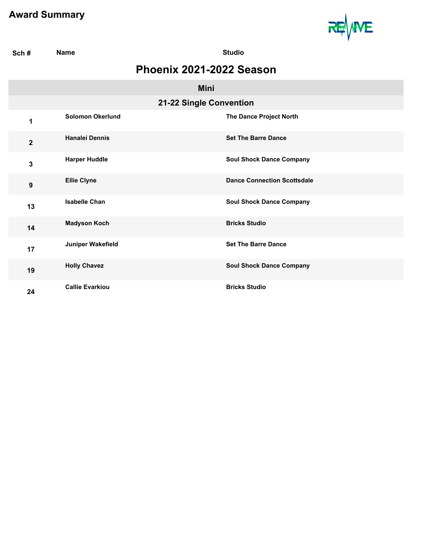I



| Sch#             | <b>Name</b>             | <b>Studio</b>                      |  |
|------------------|-------------------------|------------------------------------|--|
|                  |                         | Phoenix 2021-2022 Season           |  |
|                  |                         | <b>Mini</b>                        |  |
|                  |                         | 21-22 Single Convention            |  |
| 1                | <b>Solomon Okerlund</b> | The Dance Project North            |  |
| $\overline{2}$   | <b>Hanalei Dennis</b>   | <b>Set The Barre Dance</b>         |  |
| 3                | <b>Harper Huddle</b>    | <b>Soul Shock Dance Company</b>    |  |
| $\boldsymbol{9}$ | <b>Ellie Clyne</b>      | <b>Dance Connection Scottsdale</b> |  |
| 13               | <b>Isabelle Chan</b>    | <b>Soul Shock Dance Company</b>    |  |
| 14               | <b>Madyson Koch</b>     | <b>Bricks Studio</b>               |  |
| 17               | Juniper Wakefield       | <b>Set The Barre Dance</b>         |  |
| 19               | <b>Holly Chavez</b>     | <b>Soul Shock Dance Company</b>    |  |
| 24               | <b>Callie Evarkiou</b>  | <b>Bricks Studio</b>               |  |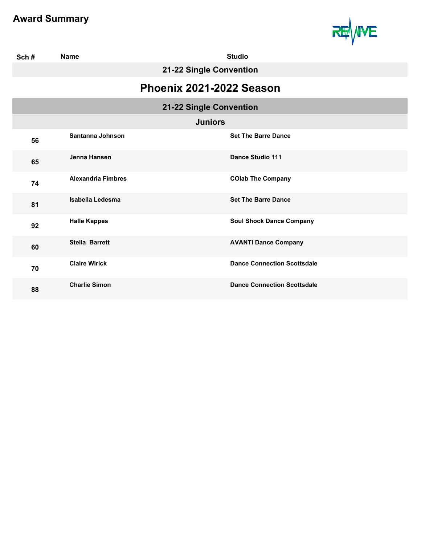

| Sch# | <b>Name</b>               | <b>Studio</b>                      |  |
|------|---------------------------|------------------------------------|--|
|      | 21-22 Single Convention   |                                    |  |
|      | Phoenix 2021-2022 Season  |                                    |  |
|      |                           | 21-22 Single Convention            |  |
|      |                           | <b>Juniors</b>                     |  |
| 56   | Santanna Johnson          | <b>Set The Barre Dance</b>         |  |
| 65   | Jenna Hansen              | Dance Studio 111                   |  |
| 74   | <b>Alexandria Fimbres</b> | <b>COlab The Company</b>           |  |
| 81   | <b>Isabella Ledesma</b>   | <b>Set The Barre Dance</b>         |  |
| 92   | <b>Halle Kappes</b>       | <b>Soul Shock Dance Company</b>    |  |
| 60   | <b>Stella Barrett</b>     | <b>AVANTI Dance Company</b>        |  |
| 70   | <b>Claire Wirick</b>      | <b>Dance Connection Scottsdale</b> |  |
| 88   | <b>Charlie Simon</b>      | <b>Dance Connection Scottsdale</b> |  |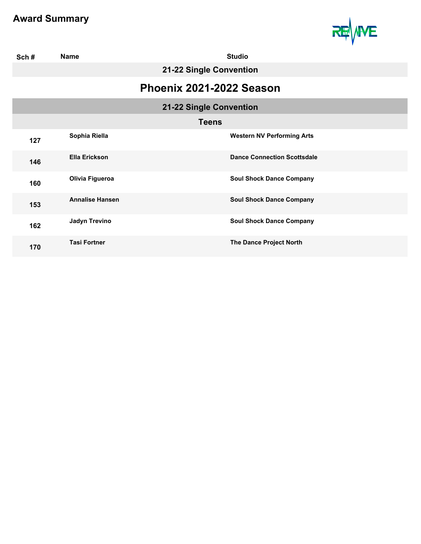

| Sch# | <b>Studio</b><br><b>Name</b> |                         |                                    |  |
|------|------------------------------|-------------------------|------------------------------------|--|
|      | 21-22 Single Convention      |                         |                                    |  |
|      | Phoenix 2021-2022 Season     |                         |                                    |  |
|      |                              | 21-22 Single Convention |                                    |  |
|      | <b>Teens</b>                 |                         |                                    |  |
| 127  | Sophia Riella                |                         | <b>Western NV Performing Arts</b>  |  |
| 146  | <b>Ella Erickson</b>         |                         | <b>Dance Connection Scottsdale</b> |  |
| 160  | Olivia Figueroa              |                         | <b>Soul Shock Dance Company</b>    |  |
| 153  | <b>Annalise Hansen</b>       |                         | <b>Soul Shock Dance Company</b>    |  |
| 162  | <b>Jadyn Trevino</b>         |                         | <b>Soul Shock Dance Company</b>    |  |
| 170  | <b>Tasi Fortner</b>          |                         | The Dance Project North            |  |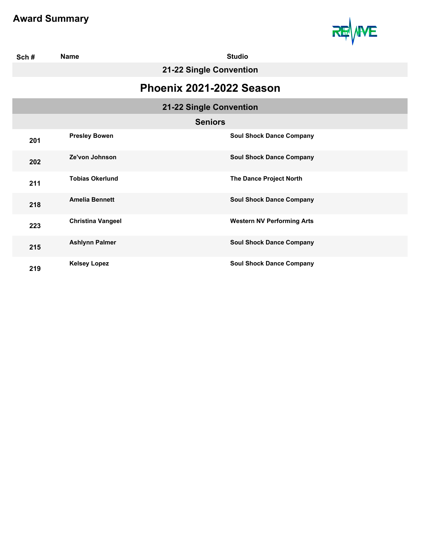

| Sch# | <b>Name</b>              | <b>Studio</b>                     |  |
|------|--------------------------|-----------------------------------|--|
|      | 21-22 Single Convention  |                                   |  |
|      | Phoenix 2021-2022 Season |                                   |  |
|      |                          | 21-22 Single Convention           |  |
|      |                          | <b>Seniors</b>                    |  |
| 201  | <b>Presley Bowen</b>     | <b>Soul Shock Dance Company</b>   |  |
| 202  | Ze'von Johnson           | <b>Soul Shock Dance Company</b>   |  |
| 211  | <b>Tobias Okerlund</b>   | The Dance Project North           |  |
| 218  | <b>Amelia Bennett</b>    | <b>Soul Shock Dance Company</b>   |  |
| 223  | <b>Christina Vangeel</b> | <b>Western NV Performing Arts</b> |  |
| 215  | <b>Ashlynn Palmer</b>    | <b>Soul Shock Dance Company</b>   |  |
| 219  | <b>Kelsey Lopez</b>      | <b>Soul Shock Dance Company</b>   |  |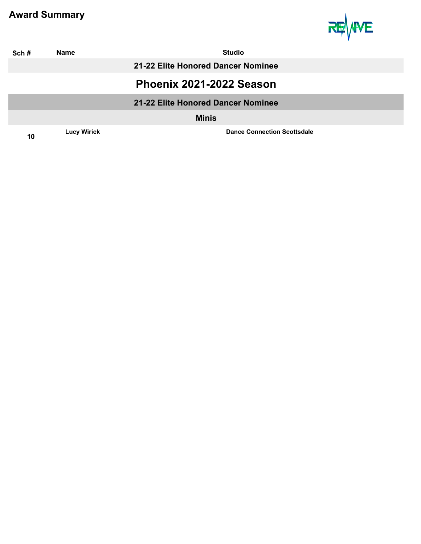

| Sch# | <b>Name</b>        | <b>Studio</b>                      |  |  |
|------|--------------------|------------------------------------|--|--|
|      |                    | 21-22 Elite Honored Dancer Nominee |  |  |
|      |                    | Phoenix 2021-2022 Season           |  |  |
|      |                    | 21-22 Elite Honored Dancer Nominee |  |  |
|      |                    | <b>Minis</b>                       |  |  |
| 10   | <b>Lucy Wirick</b> | <b>Dance Connection Scottsdale</b> |  |  |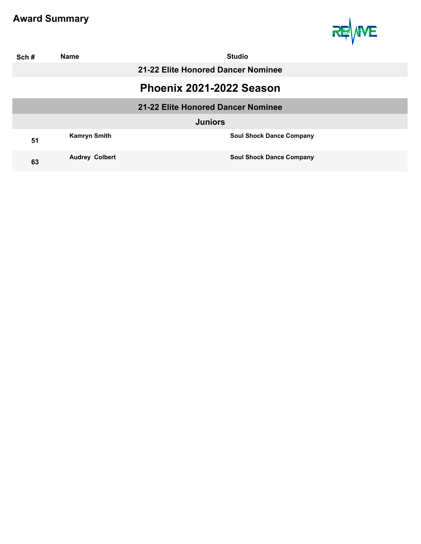

| Sch#           | <b>Name</b>              | <b>Studio</b>                      |  |
|----------------|--------------------------|------------------------------------|--|
|                |                          | 21-22 Elite Honored Dancer Nominee |  |
|                | Phoenix 2021-2022 Season |                                    |  |
|                |                          | 21-22 Elite Honored Dancer Nominee |  |
| <b>Juniors</b> |                          |                                    |  |
| 51             | <b>Kamryn Smith</b>      | <b>Soul Shock Dance Company</b>    |  |
| 63             | <b>Audrey Colbert</b>    | <b>Soul Shock Dance Company</b>    |  |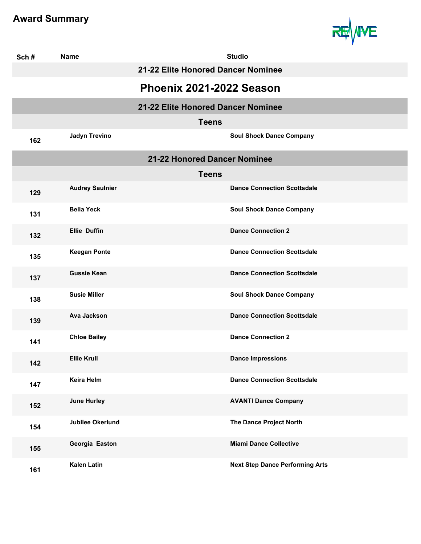

| Sch# | <b>Name</b>             |                                    | <b>Studio</b>                          |  |
|------|-------------------------|------------------------------------|----------------------------------------|--|
|      |                         | 21-22 Elite Honored Dancer Nominee |                                        |  |
|      |                         | Phoenix 2021-2022 Season           |                                        |  |
|      |                         | 21-22 Elite Honored Dancer Nominee |                                        |  |
|      |                         | <b>Teens</b>                       |                                        |  |
| 162  | <b>Jadyn Trevino</b>    |                                    | <b>Soul Shock Dance Company</b>        |  |
|      |                         | 21-22 Honored Dancer Nominee       |                                        |  |
|      |                         | <b>Teens</b>                       |                                        |  |
| 129  | <b>Audrey Saulnier</b>  |                                    | <b>Dance Connection Scottsdale</b>     |  |
| 131  | <b>Bella Yeck</b>       |                                    | <b>Soul Shock Dance Company</b>        |  |
| 132  | <b>Ellie Duffin</b>     |                                    | <b>Dance Connection 2</b>              |  |
| 135  | <b>Keegan Ponte</b>     |                                    | <b>Dance Connection Scottsdale</b>     |  |
| 137  | <b>Gussie Kean</b>      |                                    | <b>Dance Connection Scottsdale</b>     |  |
| 138  | <b>Susie Miller</b>     |                                    | <b>Soul Shock Dance Company</b>        |  |
| 139  | <b>Ava Jackson</b>      |                                    | <b>Dance Connection Scottsdale</b>     |  |
| 141  | <b>Chloe Bailey</b>     |                                    | <b>Dance Connection 2</b>              |  |
| 142  | <b>Ellie Krull</b>      |                                    | <b>Dance Impressions</b>               |  |
| 147  | Keira Helm              |                                    | <b>Dance Connection Scottsdale</b>     |  |
| 152  | <b>June Hurley</b>      |                                    | <b>AVANTI Dance Company</b>            |  |
| 154  | <b>Jubilee Okerlund</b> |                                    | The Dance Project North                |  |
| 155  | Georgia Easton          |                                    | <b>Miami Dance Collective</b>          |  |
| 161  | <b>Kalen Latin</b>      |                                    | <b>Next Step Dance Performing Arts</b> |  |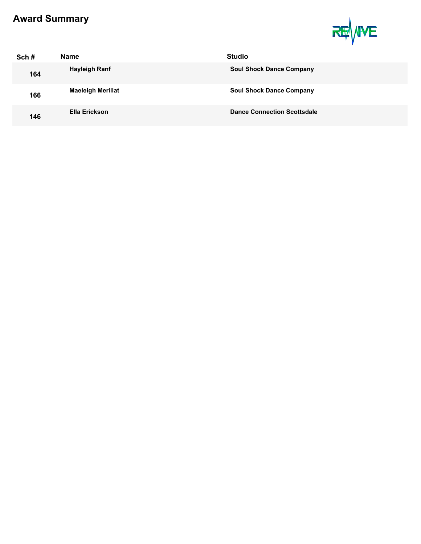

| Sch# | <b>Name</b>              | <b>Studio</b>                      |
|------|--------------------------|------------------------------------|
| 164  | Hayleigh Ranf            | <b>Soul Shock Dance Company</b>    |
| 166  | <b>Maeleigh Merillat</b> | <b>Soul Shock Dance Company</b>    |
| 146  | Ella Erickson            | <b>Dance Connection Scottsdale</b> |